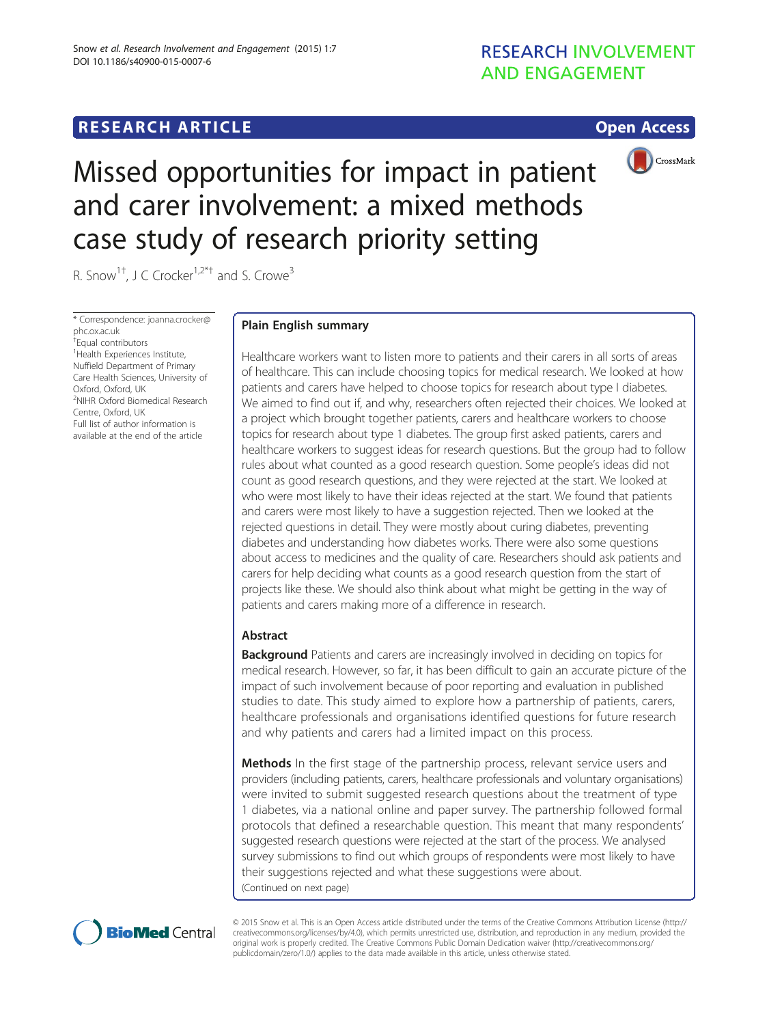## **RESEARCH ARTICLE Example 2014 12:30 The Contract of Contract ACCESS**

# **RESEARCH INVOLVEMENT AND ENGAGEMENT**



# Missed opportunities for impact in patient and carer involvement: a mixed methods case study of research priority setting

R. Snow<sup>1†</sup>, J C Crocker<sup>1,2\*†</sup> and S. Crowe<sup>3</sup>

\* Correspondence: [joanna.crocker@](mailto:joanna.crocker@phc.ox.ac.uk) [phc.ox.ac.uk](mailto:joanna.crocker@phc.ox.ac.uk) † Equal contributors 1 Health Experiences Institute, Nuffield Department of Primary Care Health Sciences, University of Oxford, Oxford, UK 2 NIHR Oxford Biomedical Research Centre, Oxford, UK Full list of author information is available at the end of the article

### Plain English summary

Healthcare workers want to listen more to patients and their carers in all sorts of areas of healthcare. This can include choosing topics for medical research. We looked at how patients and carers have helped to choose topics for research about type I diabetes. We aimed to find out if, and why, researchers often rejected their choices. We looked at a project which brought together patients, carers and healthcare workers to choose topics for research about type 1 diabetes. The group first asked patients, carers and healthcare workers to suggest ideas for research questions. But the group had to follow rules about what counted as a good research question. Some people's ideas did not count as good research questions, and they were rejected at the start. We looked at who were most likely to have their ideas rejected at the start. We found that patients and carers were most likely to have a suggestion rejected. Then we looked at the rejected questions in detail. They were mostly about curing diabetes, preventing diabetes and understanding how diabetes works. There were also some questions about access to medicines and the quality of care. Researchers should ask patients and carers for help deciding what counts as a good research question from the start of projects like these. We should also think about what might be getting in the way of patients and carers making more of a difference in research.

#### Abstract

**Background** Patients and carers are increasingly involved in deciding on topics for medical research. However, so far, it has been difficult to gain an accurate picture of the impact of such involvement because of poor reporting and evaluation in published studies to date. This study aimed to explore how a partnership of patients, carers, healthcare professionals and organisations identified questions for future research and why patients and carers had a limited impact on this process.

Methods In the first stage of the partnership process, relevant service users and providers (including patients, carers, healthcare professionals and voluntary organisations) were invited to submit suggested research questions about the treatment of type 1 diabetes, via a national online and paper survey. The partnership followed formal protocols that defined a researchable question. This meant that many respondents' suggested research questions were rejected at the start of the process. We analysed survey submissions to find out which groups of respondents were most likely to have their suggestions rejected and what these suggestions were about. (Continued on next page)



© 2015 Snow et al. This is an Open Access article distributed under the terms of the Creative Commons Attribution License [\(http://](http://creativecommons.org/licenses/by/4.0) [creativecommons.org/licenses/by/4.0](http://creativecommons.org/licenses/by/4.0)), which permits unrestricted use, distribution, and reproduction in any medium, provided the original work is properly credited. The Creative Commons Public Domain Dedication waiver ([http://creativecommons.org/](http://creativecommons.org/publicdomain/zero/1.0/) [publicdomain/zero/1.0/\)](http://creativecommons.org/publicdomain/zero/1.0/) applies to the data made available in this article, unless otherwise stated.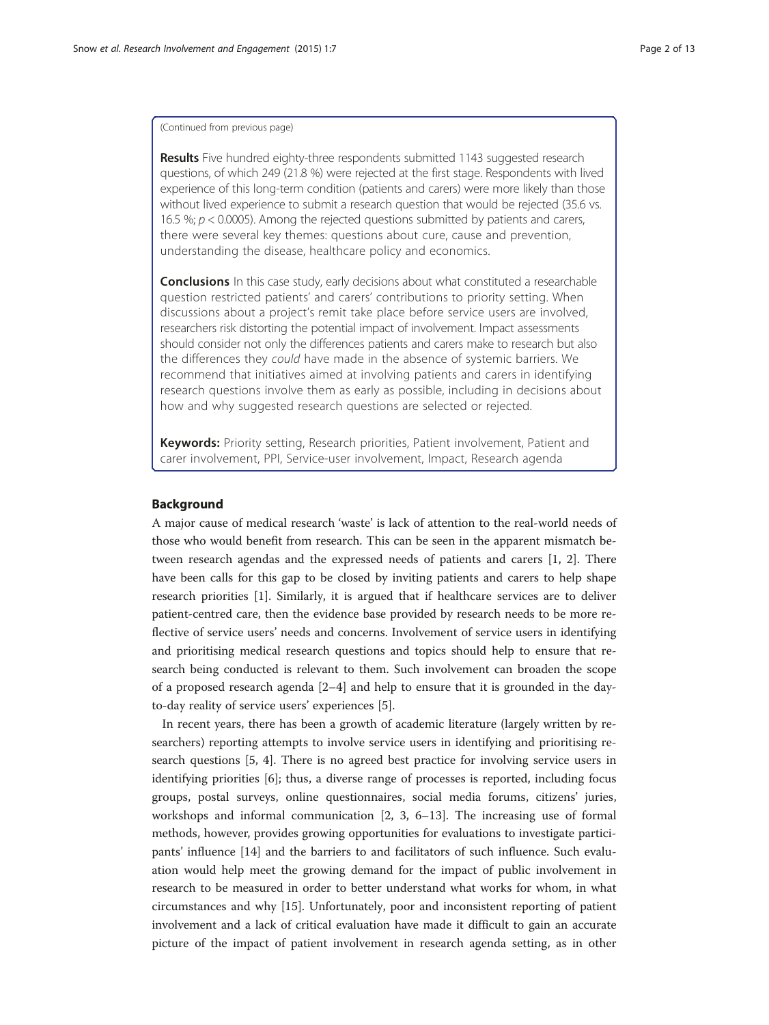(Continued from previous page)

**Results** Five hundred eighty-three respondents submitted 1143 suggested research questions, of which 249 (21.8 %) were rejected at the first stage. Respondents with lived experience of this long-term condition (patients and carers) were more likely than those without lived experience to submit a research question that would be rejected (35.6 vs. 16.5 %;  $p < 0.0005$ ). Among the rejected questions submitted by patients and carers, there were several key themes: questions about cure, cause and prevention, understanding the disease, healthcare policy and economics.

**Conclusions** In this case study, early decisions about what constituted a researchable question restricted patients' and carers' contributions to priority setting. When discussions about a project's remit take place before service users are involved, researchers risk distorting the potential impact of involvement. Impact assessments should consider not only the differences patients and carers make to research but also the differences they could have made in the absence of systemic barriers. We recommend that initiatives aimed at involving patients and carers in identifying research questions involve them as early as possible, including in decisions about how and why suggested research questions are selected or rejected.

Keywords: Priority setting, Research priorities, Patient involvement, Patient and carer involvement, PPI, Service-user involvement, Impact, Research agenda

#### Background

A major cause of medical research 'waste' is lack of attention to the real-world needs of those who would benefit from research. This can be seen in the apparent mismatch between research agendas and the expressed needs of patients and carers [[1, 2\]](#page-11-0). There have been calls for this gap to be closed by inviting patients and carers to help shape research priorities [[1\]](#page-11-0). Similarly, it is argued that if healthcare services are to deliver patient-centred care, then the evidence base provided by research needs to be more reflective of service users' needs and concerns. Involvement of service users in identifying and prioritising medical research questions and topics should help to ensure that research being conducted is relevant to them. Such involvement can broaden the scope of a proposed research agenda  $[2-4]$  $[2-4]$  $[2-4]$  $[2-4]$  $[2-4]$  and help to ensure that it is grounded in the dayto-day reality of service users' experiences [[5\]](#page-12-0).

In recent years, there has been a growth of academic literature (largely written by researchers) reporting attempts to involve service users in identifying and prioritising research questions [\[5, 4\]](#page-12-0). There is no agreed best practice for involving service users in identifying priorities [[6\]](#page-12-0); thus, a diverse range of processes is reported, including focus groups, postal surveys, online questionnaires, social media forums, citizens' juries, workshops and informal communication [[2,](#page-11-0) [3, 6](#page-12-0)–[13](#page-12-0)]. The increasing use of formal methods, however, provides growing opportunities for evaluations to investigate participants' influence [\[14](#page-12-0)] and the barriers to and facilitators of such influence. Such evaluation would help meet the growing demand for the impact of public involvement in research to be measured in order to better understand what works for whom, in what circumstances and why [[15\]](#page-12-0). Unfortunately, poor and inconsistent reporting of patient involvement and a lack of critical evaluation have made it difficult to gain an accurate picture of the impact of patient involvement in research agenda setting, as in other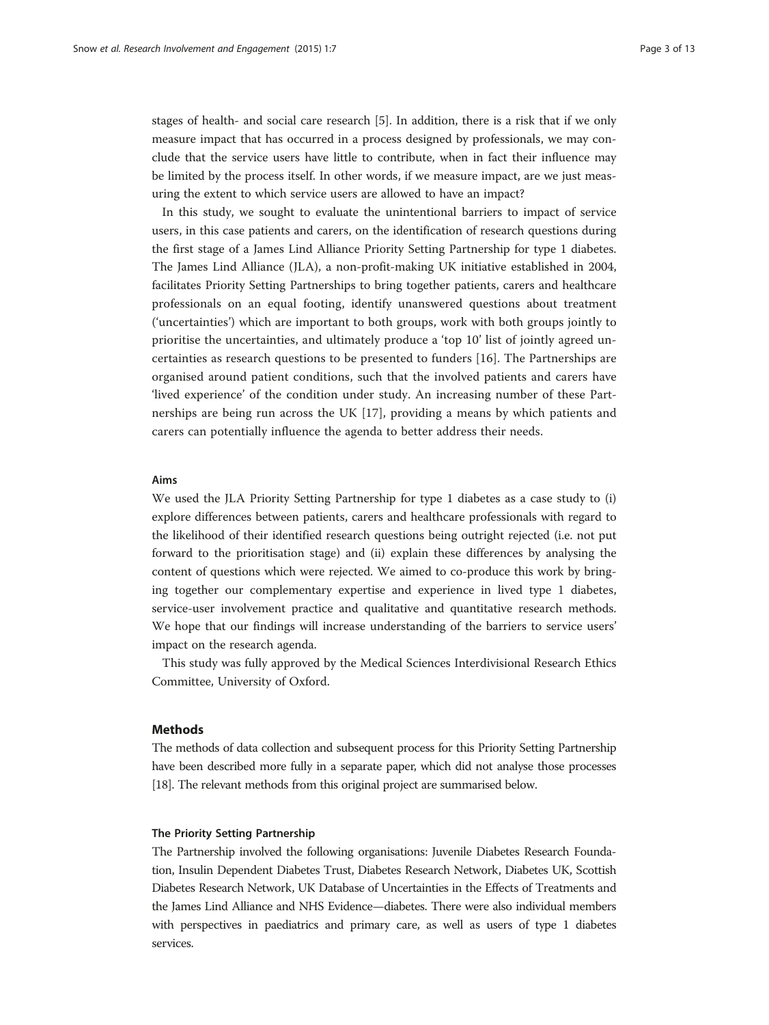stages of health- and social care research [\[5](#page-12-0)]. In addition, there is a risk that if we only measure impact that has occurred in a process designed by professionals, we may conclude that the service users have little to contribute, when in fact their influence may be limited by the process itself. In other words, if we measure impact, are we just measuring the extent to which service users are allowed to have an impact?

In this study, we sought to evaluate the unintentional barriers to impact of service users, in this case patients and carers, on the identification of research questions during the first stage of a James Lind Alliance Priority Setting Partnership for type 1 diabetes. The James Lind Alliance (JLA), a non-profit-making UK initiative established in 2004, facilitates Priority Setting Partnerships to bring together patients, carers and healthcare professionals on an equal footing, identify unanswered questions about treatment ('uncertainties') which are important to both groups, work with both groups jointly to prioritise the uncertainties, and ultimately produce a 'top 10' list of jointly agreed uncertainties as research questions to be presented to funders [[16](#page-12-0)]. The Partnerships are organised around patient conditions, such that the involved patients and carers have 'lived experience' of the condition under study. An increasing number of these Partnerships are being run across the UK [[17\]](#page-12-0), providing a means by which patients and carers can potentially influence the agenda to better address their needs.

#### Aims

We used the JLA Priority Setting Partnership for type 1 diabetes as a case study to (i) explore differences between patients, carers and healthcare professionals with regard to the likelihood of their identified research questions being outright rejected (i.e. not put forward to the prioritisation stage) and (ii) explain these differences by analysing the content of questions which were rejected. We aimed to co-produce this work by bringing together our complementary expertise and experience in lived type 1 diabetes, service-user involvement practice and qualitative and quantitative research methods. We hope that our findings will increase understanding of the barriers to service users' impact on the research agenda.

This study was fully approved by the Medical Sciences Interdivisional Research Ethics Committee, University of Oxford.

#### **Methods**

The methods of data collection and subsequent process for this Priority Setting Partnership have been described more fully in a separate paper, which did not analyse those processes [[18](#page-12-0)]. The relevant methods from this original project are summarised below.

#### The Priority Setting Partnership

The Partnership involved the following organisations: Juvenile Diabetes Research Foundation, Insulin Dependent Diabetes Trust, Diabetes Research Network, Diabetes UK, Scottish Diabetes Research Network, UK Database of Uncertainties in the Effects of Treatments and the James Lind Alliance and NHS Evidence—diabetes. There were also individual members with perspectives in paediatrics and primary care, as well as users of type 1 diabetes services.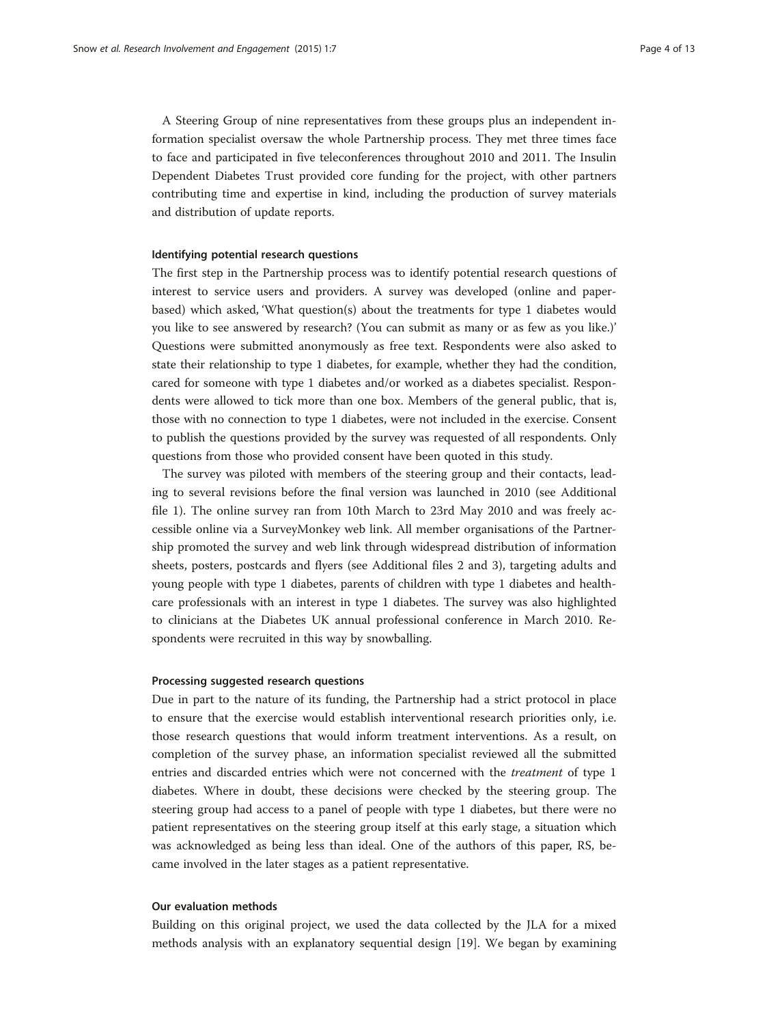A Steering Group of nine representatives from these groups plus an independent information specialist oversaw the whole Partnership process. They met three times face to face and participated in five teleconferences throughout 2010 and 2011. The Insulin Dependent Diabetes Trust provided core funding for the project, with other partners contributing time and expertise in kind, including the production of survey materials and distribution of update reports.

#### Identifying potential research questions

The first step in the Partnership process was to identify potential research questions of interest to service users and providers. A survey was developed (online and paperbased) which asked, 'What question(s) about the treatments for type 1 diabetes would you like to see answered by research? (You can submit as many or as few as you like.)' Questions were submitted anonymously as free text. Respondents were also asked to state their relationship to type 1 diabetes, for example, whether they had the condition, cared for someone with type 1 diabetes and/or worked as a diabetes specialist. Respondents were allowed to tick more than one box. Members of the general public, that is, those with no connection to type 1 diabetes, were not included in the exercise. Consent to publish the questions provided by the survey was requested of all respondents. Only questions from those who provided consent have been quoted in this study.

The survey was piloted with members of the steering group and their contacts, leading to several revisions before the final version was launched in 2010 (see Additional file [1\)](#page-11-0). The online survey ran from 10th March to 23rd May 2010 and was freely accessible online via a SurveyMonkey web link. All member organisations of the Partnership promoted the survey and web link through widespread distribution of information sheets, posters, postcards and flyers (see Additional files [2](#page-11-0) and [3](#page-11-0)), targeting adults and young people with type 1 diabetes, parents of children with type 1 diabetes and healthcare professionals with an interest in type 1 diabetes. The survey was also highlighted to clinicians at the Diabetes UK annual professional conference in March 2010. Respondents were recruited in this way by snowballing.

#### Processing suggested research questions

Due in part to the nature of its funding, the Partnership had a strict protocol in place to ensure that the exercise would establish interventional research priorities only, i.e. those research questions that would inform treatment interventions. As a result, on completion of the survey phase, an information specialist reviewed all the submitted entries and discarded entries which were not concerned with the treatment of type 1 diabetes. Where in doubt, these decisions were checked by the steering group. The steering group had access to a panel of people with type 1 diabetes, but there were no patient representatives on the steering group itself at this early stage, a situation which was acknowledged as being less than ideal. One of the authors of this paper, RS, became involved in the later stages as a patient representative.

#### Our evaluation methods

Building on this original project, we used the data collected by the JLA for a mixed methods analysis with an explanatory sequential design [[19\]](#page-12-0). We began by examining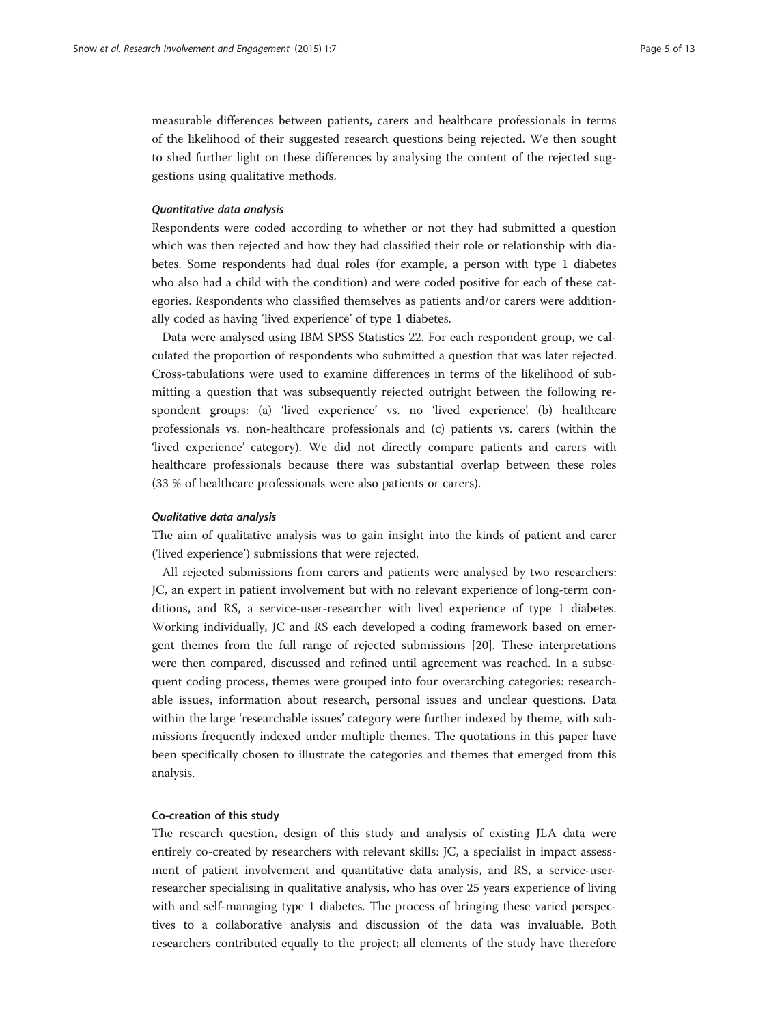measurable differences between patients, carers and healthcare professionals in terms of the likelihood of their suggested research questions being rejected. We then sought to shed further light on these differences by analysing the content of the rejected suggestions using qualitative methods.

#### Quantitative data analysis

Respondents were coded according to whether or not they had submitted a question which was then rejected and how they had classified their role or relationship with diabetes. Some respondents had dual roles (for example, a person with type 1 diabetes who also had a child with the condition) and were coded positive for each of these categories. Respondents who classified themselves as patients and/or carers were additionally coded as having 'lived experience' of type 1 diabetes.

Data were analysed using IBM SPSS Statistics 22. For each respondent group, we calculated the proportion of respondents who submitted a question that was later rejected. Cross-tabulations were used to examine differences in terms of the likelihood of submitting a question that was subsequently rejected outright between the following respondent groups: (a) 'lived experience' vs. no 'lived experience', (b) healthcare professionals vs. non-healthcare professionals and (c) patients vs. carers (within the 'lived experience' category). We did not directly compare patients and carers with healthcare professionals because there was substantial overlap between these roles (33 % of healthcare professionals were also patients or carers).

#### Qualitative data analysis

The aim of qualitative analysis was to gain insight into the kinds of patient and carer ('lived experience') submissions that were rejected.

All rejected submissions from carers and patients were analysed by two researchers: JC, an expert in patient involvement but with no relevant experience of long-term conditions, and RS, a service-user-researcher with lived experience of type 1 diabetes. Working individually, JC and RS each developed a coding framework based on emergent themes from the full range of rejected submissions [[20](#page-12-0)]. These interpretations were then compared, discussed and refined until agreement was reached. In a subsequent coding process, themes were grouped into four overarching categories: researchable issues, information about research, personal issues and unclear questions. Data within the large 'researchable issues' category were further indexed by theme, with submissions frequently indexed under multiple themes. The quotations in this paper have been specifically chosen to illustrate the categories and themes that emerged from this analysis.

#### Co-creation of this study

The research question, design of this study and analysis of existing JLA data were entirely co-created by researchers with relevant skills: JC, a specialist in impact assessment of patient involvement and quantitative data analysis, and RS, a service-userresearcher specialising in qualitative analysis, who has over 25 years experience of living with and self-managing type 1 diabetes. The process of bringing these varied perspectives to a collaborative analysis and discussion of the data was invaluable. Both researchers contributed equally to the project; all elements of the study have therefore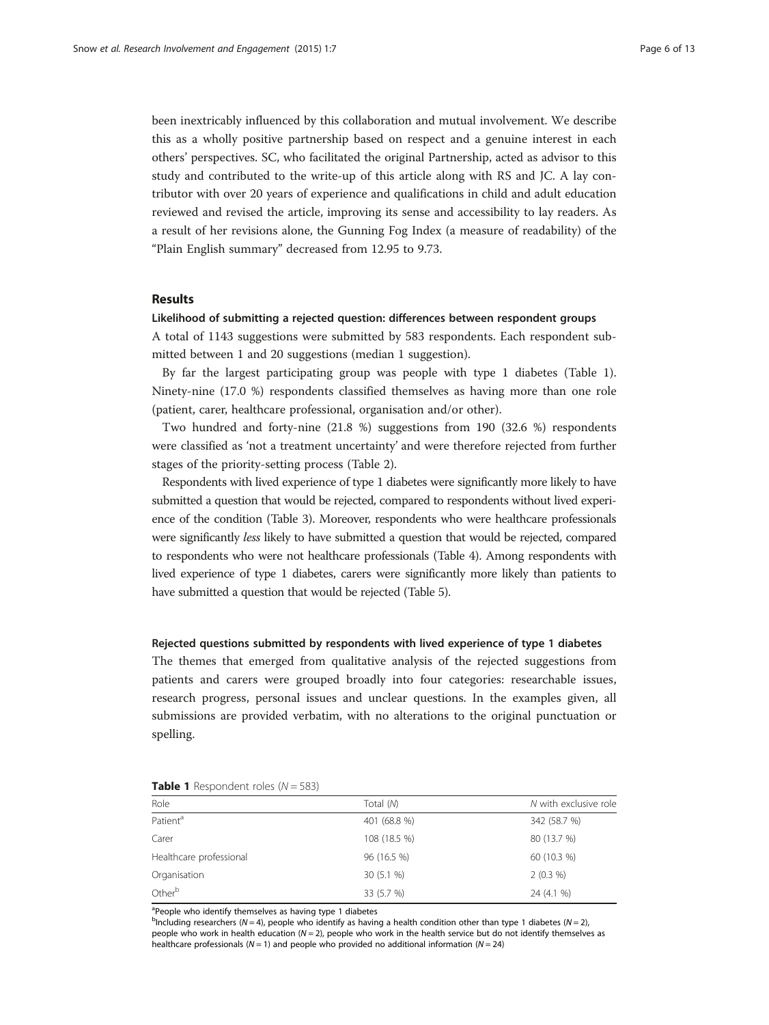been inextricably influenced by this collaboration and mutual involvement. We describe this as a wholly positive partnership based on respect and a genuine interest in each others' perspectives. SC, who facilitated the original Partnership, acted as advisor to this study and contributed to the write-up of this article along with RS and JC. A lay contributor with over 20 years of experience and qualifications in child and adult education reviewed and revised the article, improving its sense and accessibility to lay readers. As a result of her revisions alone, the Gunning Fog Index (a measure of readability) of the "Plain English summary" decreased from 12.95 to 9.73.

#### Results

#### Likelihood of submitting a rejected question: differences between respondent groups

A total of 1143 suggestions were submitted by 583 respondents. Each respondent submitted between 1 and 20 suggestions (median 1 suggestion).

By far the largest participating group was people with type 1 diabetes (Table 1). Ninety-nine (17.0 %) respondents classified themselves as having more than one role (patient, carer, healthcare professional, organisation and/or other).

Two hundred and forty-nine (21.8 %) suggestions from 190 (32.6 %) respondents were classified as 'not a treatment uncertainty' and were therefore rejected from further stages of the priority-setting process (Table [2](#page-6-0)).

Respondents with lived experience of type 1 diabetes were significantly more likely to have submitted a question that would be rejected, compared to respondents without lived experience of the condition (Table [3\)](#page-6-0). Moreover, respondents who were healthcare professionals were significantly less likely to have submitted a question that would be rejected, compared to respondents who were not healthcare professionals (Table [4](#page-7-0)). Among respondents with lived experience of type 1 diabetes, carers were significantly more likely than patients to have submitted a question that would be rejected (Table [5](#page-7-0)).

#### Rejected questions submitted by respondents with lived experience of type 1 diabetes

The themes that emerged from qualitative analysis of the rejected suggestions from patients and carers were grouped broadly into four categories: researchable issues, research progress, personal issues and unclear questions. In the examples given, all submissions are provided verbatim, with no alterations to the original punctuation or spelling.

| Total (M)    | N with exclusive role |  |  |  |
|--------------|-----------------------|--|--|--|
| 401 (68.8 %) | 342 (58.7 %)          |  |  |  |
| 108 (18.5 %) | 80 (13.7 %)           |  |  |  |
| 96 (16.5 %)  | 60 (10.3 %)           |  |  |  |
| 30 (5.1 %)   | 2(0.3%)               |  |  |  |
| 33 (5.7 %)   | 24 (4.1 %)            |  |  |  |
|              |                       |  |  |  |

#### **Table 1** Respondent roles  $(N = 583)$

<sup>a</sup>People who identify themselves as having type 1 diabetes

 $b$ Including researchers (N = 4), people who identify as having a health condition other than type 1 diabetes (N = 2), people who work in health education ( $N = 2$ ), people who work in the health service but do not identify themselves as healthcare professionals ( $N = 1$ ) and people who provided no additional information ( $N = 24$ )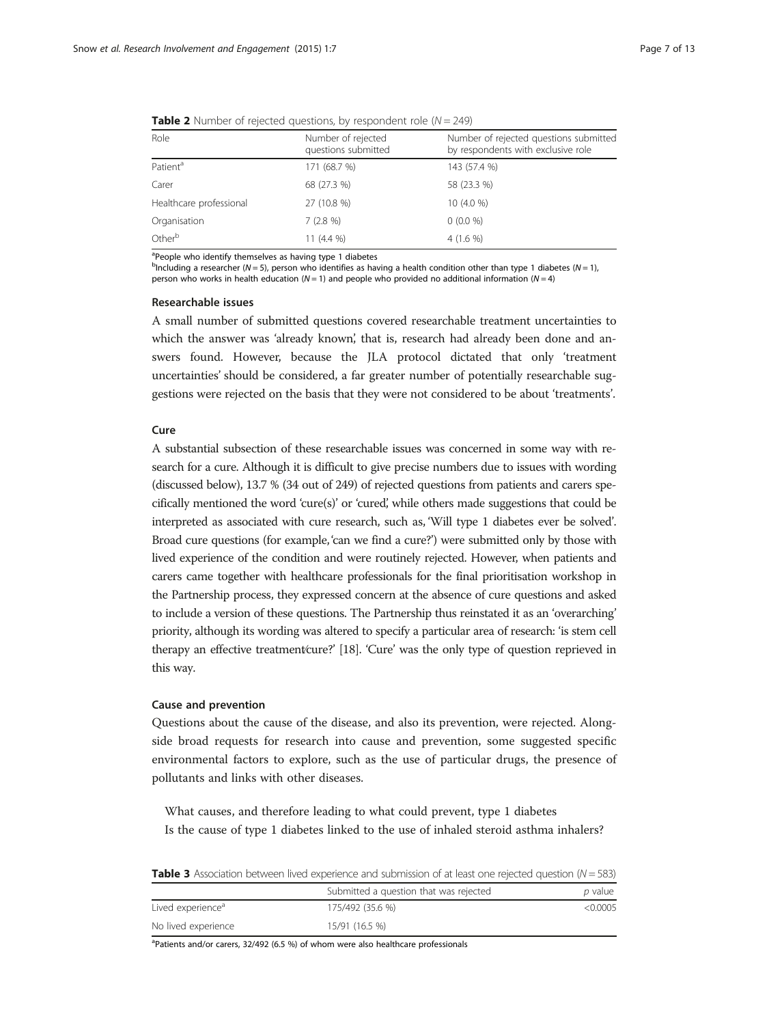| Role                    | Number of rejected<br>questions submitted | Number of rejected questions submitted<br>by respondents with exclusive role |
|-------------------------|-------------------------------------------|------------------------------------------------------------------------------|
| Patient <sup>a</sup>    | 171 (68.7 %)                              | 143 (57.4 %)                                                                 |
| Carer                   | 68 (27.3 %)                               | 58 (23.3 %)                                                                  |
| Healthcare professional | 27 (10.8 %)                               | 10 (4.0 %)                                                                   |
| Organisation            | 7(2.8%)                                   | $0(0.0\%)$                                                                   |
| Otherb                  | $11(4.4\%)$                               | $4(1.6\%)$                                                                   |

<span id="page-6-0"></span>**Table 2** Number of rejected questions, by respondent role ( $N = 249$ )

<sup>a</sup>People who identify themselves as having type 1 diabetes

 $b$ Including a researcher (N = 5), person who identifies as having a health condition other than type 1 diabetes (N = 1), person who works in health education ( $N = 1$ ) and people who provided no additional information ( $N = 4$ )

#### Researchable issues

A small number of submitted questions covered researchable treatment uncertainties to which the answer was 'already known', that is, research had already been done and answers found. However, because the JLA protocol dictated that only 'treatment uncertainties' should be considered, a far greater number of potentially researchable suggestions were rejected on the basis that they were not considered to be about 'treatments'.

#### Cure

A substantial subsection of these researchable issues was concerned in some way with research for a cure. Although it is difficult to give precise numbers due to issues with wording (discussed below), 13.7 % (34 out of 249) of rejected questions from patients and carers specifically mentioned the word 'cure(s)' or 'cured, while others made suggestions that could be ' interpreted as associated with cure research, such as, 'Will type 1 diabetes ever be solved'. Broad cure questions (for example, 'can we find a cure?') were submitted only by those with lived experience of the condition and were routinely rejected. However, when patients and carers came together with healthcare professionals for the final prioritisation workshop in the Partnership process, they expressed concern at the absence of cure questions and asked to include a version of these questions. The Partnership thus reinstated it as an 'overarching' priority, although its wording was altered to specify a particular area of research: 'is stem cell therapy an effective treatment⁄cure?' [[18](#page-12-0)]. 'Cure' was the only type of question reprieved in this way.

#### Cause and prevention

Questions about the cause of the disease, and also its prevention, were rejected. Alongside broad requests for research into cause and prevention, some suggested specific environmental factors to explore, such as the use of particular drugs, the presence of pollutants and links with other diseases.

What causes, and therefore leading to what could prevent, type 1 diabetes Is the cause of type 1 diabetes linked to the use of inhaled steroid asthma inhalers?

**Table 3** Association between lived experience and submission of at least one rejected question ( $N = 583$ )

|                               | Submitted a question that was rejected | p value  |
|-------------------------------|----------------------------------------|----------|
| Lived experience <sup>®</sup> | 175/492 (35.6 %)                       | < 0.0005 |
| No lived experience           | 15/91 (16.5 %)                         |          |

<sup>a</sup>Patients and/or carers, 32/492 (6.5 %) of whom were also healthcare professionals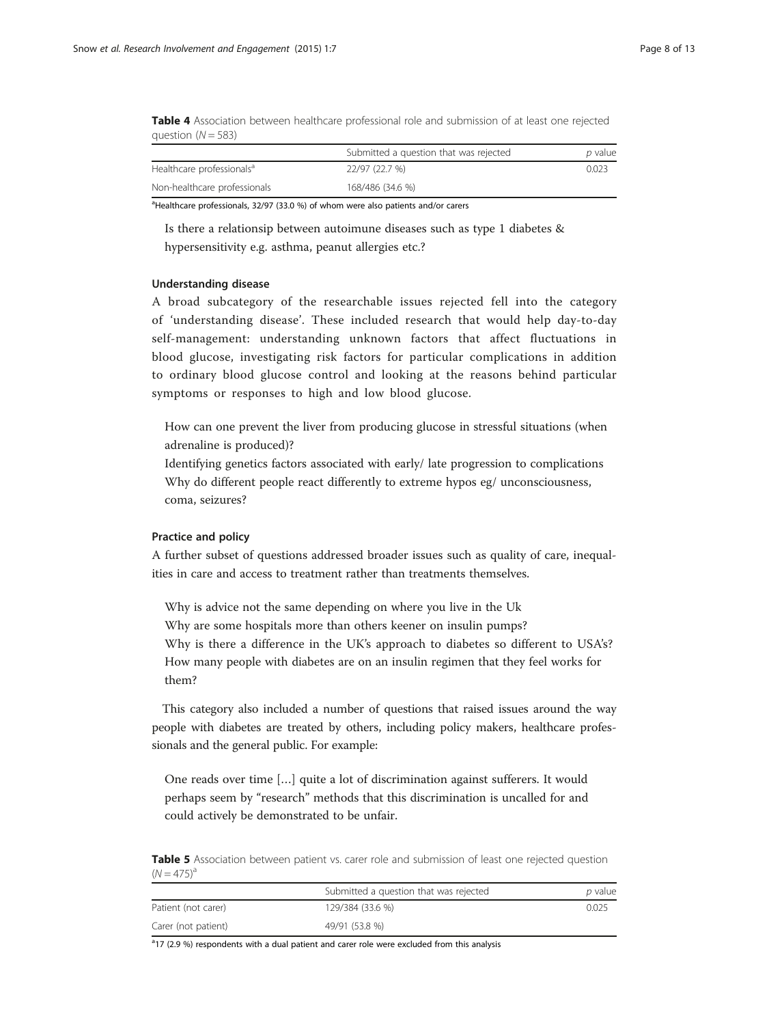|                                       | Submitted a question that was rejected | <i>p</i> value |
|---------------------------------------|----------------------------------------|----------------|
| Healthcare professionals <sup>a</sup> | 22/97 (22.7 %)                         | 0.023          |
| Non-healthcare professionals          | 168/486 (34.6 %)                       |                |

<span id="page-7-0"></span>Table 4 Association between healthcare professional role and submission of at least one rejected question  $(N = 583)$ 

<sup>a</sup>Healthcare professionals, 32/97 (33.0 %) of whom were also patients and/or carers

Is there a relationsip between autoimune diseases such as type 1 diabetes & hypersensitivity e.g. asthma, peanut allergies etc.?

#### Understanding disease

A broad subcategory of the researchable issues rejected fell into the category of 'understanding disease'. These included research that would help day-to-day self-management: understanding unknown factors that affect fluctuations in blood glucose, investigating risk factors for particular complications in addition to ordinary blood glucose control and looking at the reasons behind particular symptoms or responses to high and low blood glucose.

How can one prevent the liver from producing glucose in stressful situations (when adrenaline is produced)?

Identifying genetics factors associated with early/ late progression to complications Why do different people react differently to extreme hypos eg/ unconsciousness, coma, seizures?

#### Practice and policy

A further subset of questions addressed broader issues such as quality of care, inequalities in care and access to treatment rather than treatments themselves.

Why is advice not the same depending on where you live in the Uk Why are some hospitals more than others keener on insulin pumps? Why is there a difference in the UK's approach to diabetes so different to USA's? How many people with diabetes are on an insulin regimen that they feel works for them?

This category also included a number of questions that raised issues around the way people with diabetes are treated by others, including policy makers, healthcare professionals and the general public. For example:

One reads over time […] quite a lot of discrimination against sufferers. It would perhaps seem by "research" methods that this discrimination is uncalled for and could actively be demonstrated to be unfair.

**Table 5** Association between patient vs. carer role and submission of least one rejected question  $(N = 475)^{a}$ 

|                     | Submitted a question that was rejected | <i>p</i> value |
|---------------------|----------------------------------------|----------------|
| Patient (not carer) | 129/384 (33.6 %)                       | 0.025          |
| Carer (not patient) | 49/91 (53.8 %)                         |                |

<sup>a</sup>17 (2.9 %) respondents with a dual patient and carer role were excluded from this analysis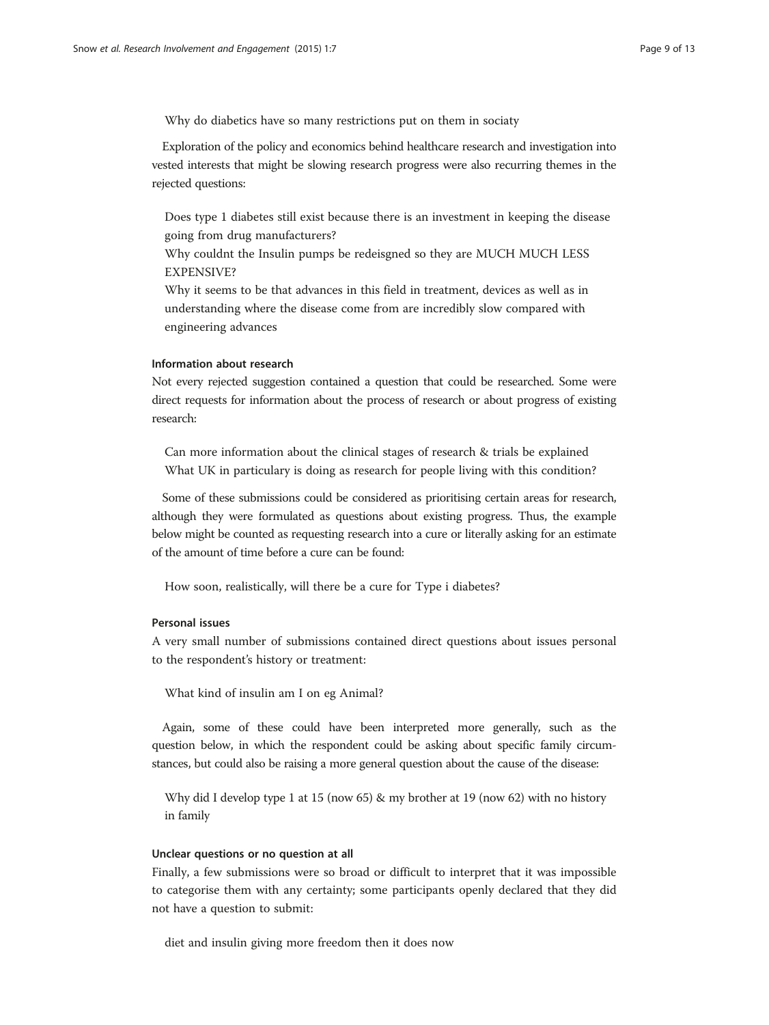Why do diabetics have so many restrictions put on them in sociaty

Exploration of the policy and economics behind healthcare research and investigation into vested interests that might be slowing research progress were also recurring themes in the rejected questions:

Does type 1 diabetes still exist because there is an investment in keeping the disease going from drug manufacturers?

Why couldnt the Insulin pumps be redeisgned so they are MUCH MUCH LESS EXPENSIVE?

Why it seems to be that advances in this field in treatment, devices as well as in understanding where the disease come from are incredibly slow compared with engineering advances

#### Information about research

Not every rejected suggestion contained a question that could be researched. Some were direct requests for information about the process of research or about progress of existing research:

Can more information about the clinical stages of research & trials be explained What UK in particulary is doing as research for people living with this condition?

Some of these submissions could be considered as prioritising certain areas for research, although they were formulated as questions about existing progress. Thus, the example below might be counted as requesting research into a cure or literally asking for an estimate of the amount of time before a cure can be found:

How soon, realistically, will there be a cure for Type i diabetes?

#### Personal issues

A very small number of submissions contained direct questions about issues personal to the respondent's history or treatment:

What kind of insulin am I on eg Animal?

Again, some of these could have been interpreted more generally, such as the question below, in which the respondent could be asking about specific family circumstances, but could also be raising a more general question about the cause of the disease:

Why did I develop type 1 at 15 (now 65) & my brother at 19 (now 62) with no history in family

#### Unclear questions or no question at all

Finally, a few submissions were so broad or difficult to interpret that it was impossible to categorise them with any certainty; some participants openly declared that they did not have a question to submit:

diet and insulin giving more freedom then it does now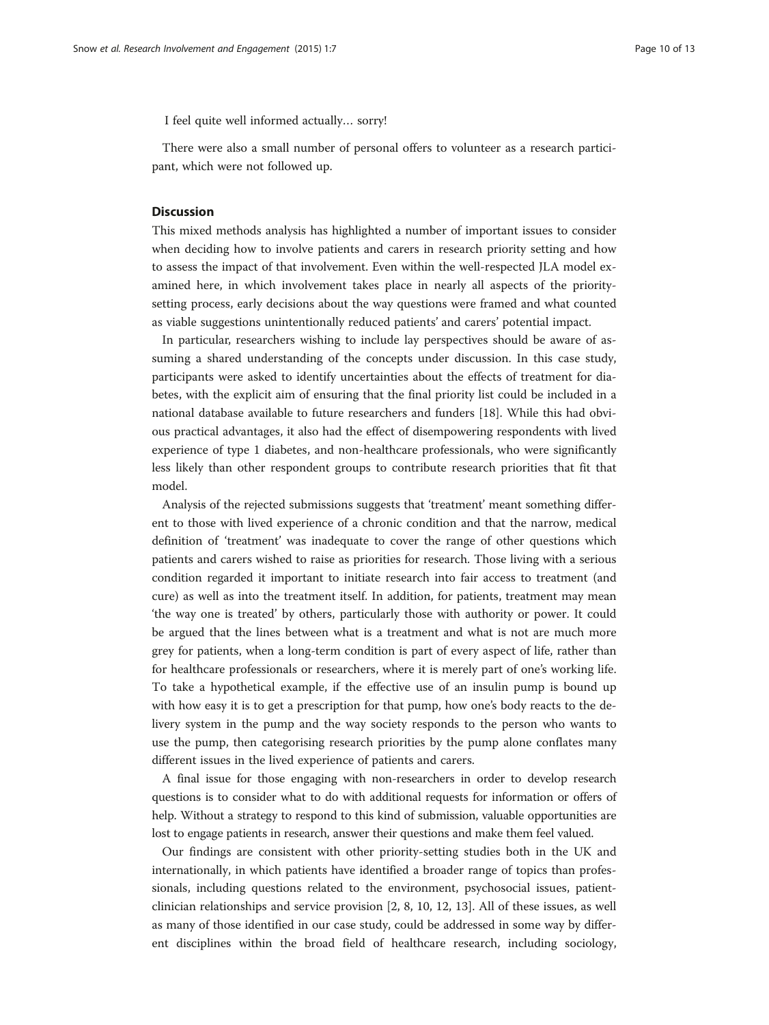I feel quite well informed actually… sorry!

There were also a small number of personal offers to volunteer as a research participant, which were not followed up.

#### **Discussion**

This mixed methods analysis has highlighted a number of important issues to consider when deciding how to involve patients and carers in research priority setting and how to assess the impact of that involvement. Even within the well-respected JLA model examined here, in which involvement takes place in nearly all aspects of the prioritysetting process, early decisions about the way questions were framed and what counted as viable suggestions unintentionally reduced patients' and carers' potential impact.

In particular, researchers wishing to include lay perspectives should be aware of assuming a shared understanding of the concepts under discussion. In this case study, participants were asked to identify uncertainties about the effects of treatment for diabetes, with the explicit aim of ensuring that the final priority list could be included in a national database available to future researchers and funders [\[18\]](#page-12-0). While this had obvious practical advantages, it also had the effect of disempowering respondents with lived experience of type 1 diabetes, and non-healthcare professionals, who were significantly less likely than other respondent groups to contribute research priorities that fit that model.

Analysis of the rejected submissions suggests that 'treatment' meant something different to those with lived experience of a chronic condition and that the narrow, medical definition of 'treatment' was inadequate to cover the range of other questions which patients and carers wished to raise as priorities for research. Those living with a serious condition regarded it important to initiate research into fair access to treatment (and cure) as well as into the treatment itself. In addition, for patients, treatment may mean 'the way one is treated' by others, particularly those with authority or power. It could be argued that the lines between what is a treatment and what is not are much more grey for patients, when a long-term condition is part of every aspect of life, rather than for healthcare professionals or researchers, where it is merely part of one's working life. To take a hypothetical example, if the effective use of an insulin pump is bound up with how easy it is to get a prescription for that pump, how one's body reacts to the delivery system in the pump and the way society responds to the person who wants to use the pump, then categorising research priorities by the pump alone conflates many different issues in the lived experience of patients and carers.

A final issue for those engaging with non-researchers in order to develop research questions is to consider what to do with additional requests for information or offers of help. Without a strategy to respond to this kind of submission, valuable opportunities are lost to engage patients in research, answer their questions and make them feel valued.

Our findings are consistent with other priority-setting studies both in the UK and internationally, in which patients have identified a broader range of topics than professionals, including questions related to the environment, psychosocial issues, patientclinician relationships and service provision [[2,](#page-11-0) [8, 10, 12, 13\]](#page-12-0). All of these issues, as well as many of those identified in our case study, could be addressed in some way by different disciplines within the broad field of healthcare research, including sociology,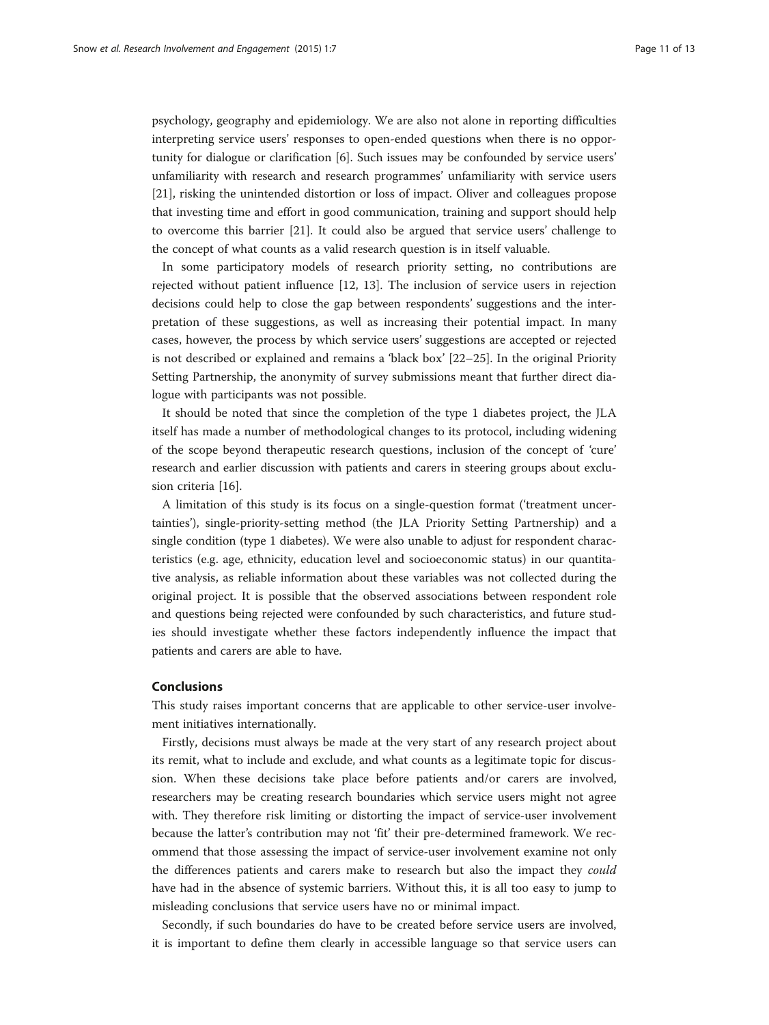psychology, geography and epidemiology. We are also not alone in reporting difficulties interpreting service users' responses to open-ended questions when there is no opportunity for dialogue or clarification [\[6](#page-12-0)]. Such issues may be confounded by service users' unfamiliarity with research and research programmes' unfamiliarity with service users [[21\]](#page-12-0), risking the unintended distortion or loss of impact. Oliver and colleagues propose that investing time and effort in good communication, training and support should help to overcome this barrier [\[21](#page-12-0)]. It could also be argued that service users' challenge to the concept of what counts as a valid research question is in itself valuable.

In some participatory models of research priority setting, no contributions are rejected without patient influence [[12](#page-12-0), [13](#page-12-0)]. The inclusion of service users in rejection decisions could help to close the gap between respondents' suggestions and the interpretation of these suggestions, as well as increasing their potential impact. In many cases, however, the process by which service users' suggestions are accepted or rejected is not described or explained and remains a 'black box' [[22](#page-12-0)–[25](#page-12-0)]. In the original Priority Setting Partnership, the anonymity of survey submissions meant that further direct dialogue with participants was not possible.

It should be noted that since the completion of the type 1 diabetes project, the JLA itself has made a number of methodological changes to its protocol, including widening of the scope beyond therapeutic research questions, inclusion of the concept of 'cure' research and earlier discussion with patients and carers in steering groups about exclusion criteria [\[16](#page-12-0)].

A limitation of this study is its focus on a single-question format ('treatment uncertainties'), single-priority-setting method (the JLA Priority Setting Partnership) and a single condition (type 1 diabetes). We were also unable to adjust for respondent characteristics (e.g. age, ethnicity, education level and socioeconomic status) in our quantitative analysis, as reliable information about these variables was not collected during the original project. It is possible that the observed associations between respondent role and questions being rejected were confounded by such characteristics, and future studies should investigate whether these factors independently influence the impact that patients and carers are able to have.

#### Conclusions

This study raises important concerns that are applicable to other service-user involvement initiatives internationally.

Firstly, decisions must always be made at the very start of any research project about its remit, what to include and exclude, and what counts as a legitimate topic for discussion. When these decisions take place before patients and/or carers are involved, researchers may be creating research boundaries which service users might not agree with. They therefore risk limiting or distorting the impact of service-user involvement because the latter's contribution may not 'fit' their pre-determined framework. We recommend that those assessing the impact of service-user involvement examine not only the differences patients and carers make to research but also the impact they could have had in the absence of systemic barriers. Without this, it is all too easy to jump to misleading conclusions that service users have no or minimal impact.

Secondly, if such boundaries do have to be created before service users are involved, it is important to define them clearly in accessible language so that service users can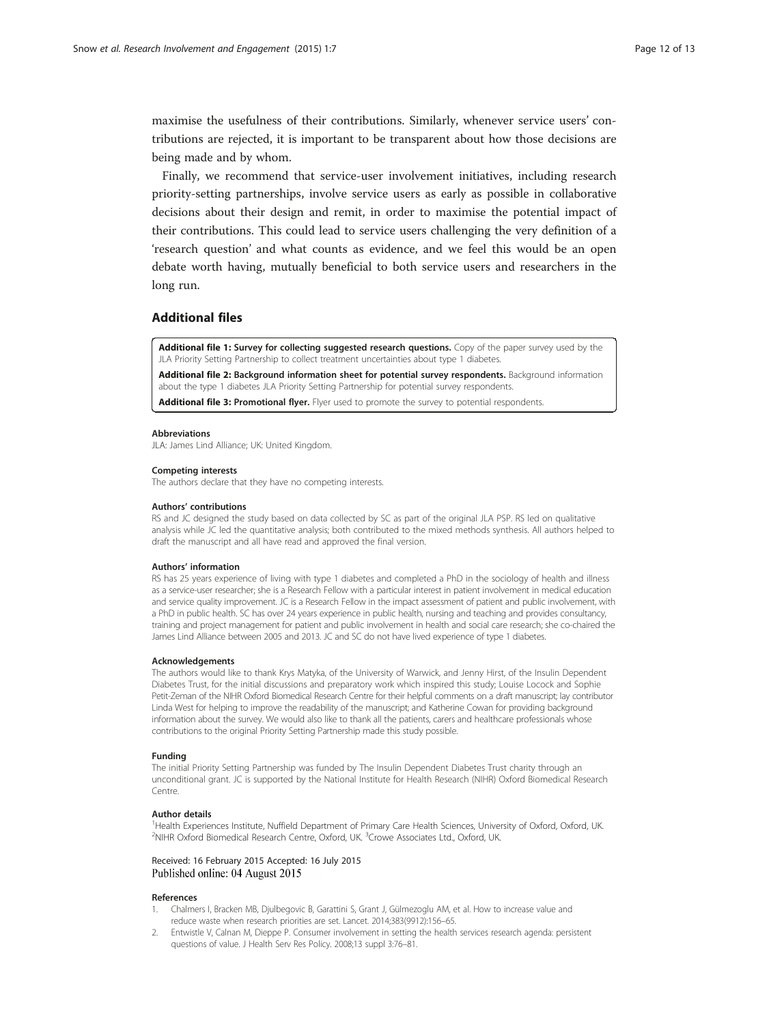<span id="page-11-0"></span>maximise the usefulness of their contributions. Similarly, whenever service users' contributions are rejected, it is important to be transparent about how those decisions are being made and by whom.

Finally, we recommend that service-user involvement initiatives, including research priority-setting partnerships, involve service users as early as possible in collaborative decisions about their design and remit, in order to maximise the potential impact of their contributions. This could lead to service users challenging the very definition of a 'research question' and what counts as evidence, and we feel this would be an open debate worth having, mutually beneficial to both service users and researchers in the long run.

#### Additional files

[Additional file 1:](http://www.researchinvolvement.com/content/supplementary/s40900-015-0007-6-s1.pdf) Survey for collecting suggested research questions. Copy of the paper survey used by the JLA Priority Setting Partnership to collect treatment uncertainties about type 1 diabetes.

[Additional file 2:](http://www.researchinvolvement.com/content/supplementary/s40900-015-0007-6-s2.pdf) Background information sheet for potential survey respondents. Background information about the type 1 diabetes JLA Priority Setting Partnership for potential survey respondents.

[Additional file 3:](http://www.researchinvolvement.com/content/supplementary/s40900-015-0007-6-s3.pdf) Promotional flyer. Flyer used to promote the survey to potential respondents.

#### Abbreviations

JLA: James Lind Alliance; UK: United Kingdom.

#### Competing interests

The authors declare that they have no competing interests.

#### Authors' contributions

RS and JC designed the study based on data collected by SC as part of the original JLA PSP. RS led on qualitative analysis while JC led the quantitative analysis; both contributed to the mixed methods synthesis. All authors helped to draft the manuscript and all have read and approved the final version.

#### Authors' information

RS has 25 years experience of living with type 1 diabetes and completed a PhD in the sociology of health and illness as a service-user researcher; she is a Research Fellow with a particular interest in patient involvement in medical education and service quality improvement. JC is a Research Fellow in the impact assessment of patient and public involvement, with a PhD in public health. SC has over 24 years experience in public health, nursing and teaching and provides consultancy, training and project management for patient and public involvement in health and social care research; she co-chaired the James Lind Alliance between 2005 and 2013. JC and SC do not have lived experience of type 1 diabetes.

#### Acknowledgements

The authors would like to thank Krys Matyka, of the University of Warwick, and Jenny Hirst, of the Insulin Dependent Diabetes Trust, for the initial discussions and preparatory work which inspired this study; Louise Locock and Sophie Petit-Zeman of the NIHR Oxford Biomedical Research Centre for their helpful comments on a draft manuscript; lay contributor Linda West for helping to improve the readability of the manuscript; and Katherine Cowan for providing background information about the survey. We would also like to thank all the patients, carers and healthcare professionals whose contributions to the original Priority Setting Partnership made this study possible.

#### Funding

The initial Priority Setting Partnership was funded by The Insulin Dependent Diabetes Trust charity through an unconditional grant. JC is supported by the National Institute for Health Research (NIHR) Oxford Biomedical Research Centre.

#### Author details

<sup>1</sup>Health Experiences Institute, Nuffield Department of Primary Care Health Sciences, University of Oxford, Oxford, UK. <sup>2</sup>NIHR Oxford Biomedical Research Centre, Oxford, UK. <sup>3</sup>Crowe Associates Ltd., Oxford, UK.

Received: 16 February 2015 Accepted: 16 July 2015 Published online: 04 August 2015

#### References

- 1. Chalmers I, Bracken MB, Djulbegovic B, Garattini S, Grant J, Gülmezoglu AM, et al. How to increase value and reduce waste when research priorities are set. Lancet. 2014;383(9912):156–65.
- 2. Entwistle V, Calnan M, Dieppe P. Consumer involvement in setting the health services research agenda: persistent questions of value. J Health Serv Res Policy. 2008;13 suppl 3:76–81.